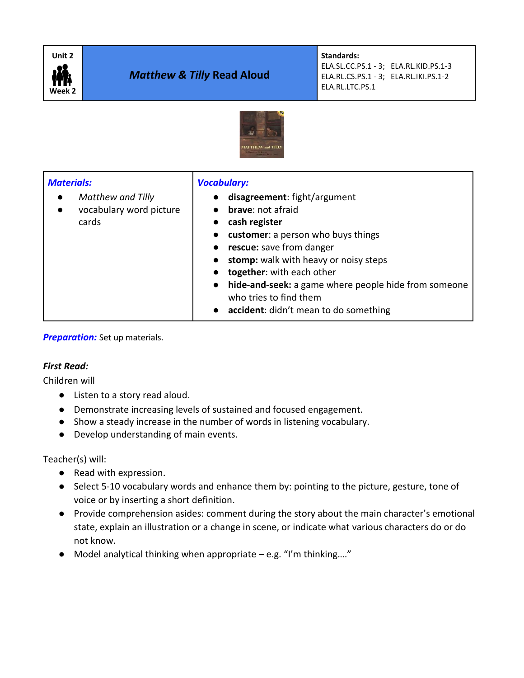

# *Matthew & Tilly* **Read Aloud**

**Standards:**  ELA.SL.CC.PS.1 - 3; ELA.RL.KID.PS.1-3 ELA.RL.CS.PS.1 - 3; ELA.RL.IKI.PS.1-2 ELA.RL.LTC.PS.1



| <b>Materials:</b><br>Matthew and Tilly<br>$\bullet$<br>vocabulary word picture<br>$\bullet$<br>cards | <b>Vocabulary:</b><br>disagreement: fight/argument<br><b>brave:</b> not afraid<br>cash register<br>customer: a person who buys things<br>$\bullet$<br>rescue: save from danger<br>$\bullet$<br>stomp: walk with heavy or noisy steps<br>$\bullet$<br>together: with each other<br>$\bullet$<br>hide-and-seek: a game where people hide from someone<br>$\bullet$<br>who tries to find them |
|------------------------------------------------------------------------------------------------------|--------------------------------------------------------------------------------------------------------------------------------------------------------------------------------------------------------------------------------------------------------------------------------------------------------------------------------------------------------------------------------------------|
|                                                                                                      | • accident: didn't mean to do something                                                                                                                                                                                                                                                                                                                                                    |

**Preparation:** Set up materials.

#### *First Read:*

Children will

- Listen to a story read aloud.
- Demonstrate increasing levels of sustained and focused engagement.
- Show a steady increase in the number of words in listening vocabulary.
- Develop understanding of main events.

Teacher(s) will:

- Read with expression.
- Select 5-10 vocabulary words and enhance them by: pointing to the picture, gesture, tone of voice or by inserting a short definition.
- Provide comprehension asides: comment during the story about the main character's emotional state, explain an illustration or a change in scene, or indicate what various characters do or do not know.
- $\bullet$  Model analytical thinking when appropriate e.g. "I'm thinking...."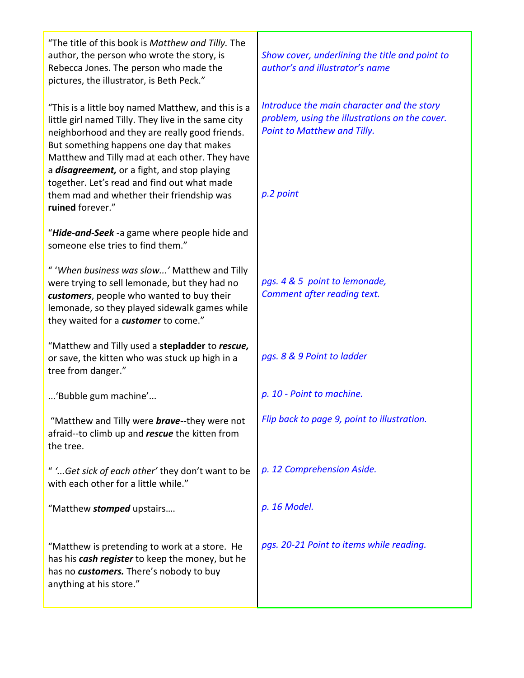| "The title of this book is Matthew and Tilly. The<br>author, the person who wrote the story, is<br>Rebecca Jones. The person who made the<br>pictures, the illustrator, is Beth Peck."                                                                                                                                                                                                                                            | Show cover, underlining the title and point to<br>author's and illustrator's name                                                        |
|-----------------------------------------------------------------------------------------------------------------------------------------------------------------------------------------------------------------------------------------------------------------------------------------------------------------------------------------------------------------------------------------------------------------------------------|------------------------------------------------------------------------------------------------------------------------------------------|
| "This is a little boy named Matthew, and this is a<br>little girl named Tilly. They live in the same city<br>neighborhood and they are really good friends.<br>But something happens one day that makes<br>Matthew and Tilly mad at each other. They have<br>a <i>disagreement</i> , or a fight, and stop playing<br>together. Let's read and find out what made<br>them mad and whether their friendship was<br>ruined forever." | Introduce the main character and the story<br>problem, using the illustrations on the cover.<br>Point to Matthew and Tilly.<br>p.2 point |
| "Hide-and-Seek -a game where people hide and<br>someone else tries to find them."                                                                                                                                                                                                                                                                                                                                                 |                                                                                                                                          |
| " 'When business was slow' Matthew and Tilly<br>were trying to sell lemonade, but they had no<br>customers, people who wanted to buy their<br>lemonade, so they played sidewalk games while<br>they waited for a customer to come."                                                                                                                                                                                               | pgs. 4 & 5 point to lemonade,<br>Comment after reading text.                                                                             |
| "Matthew and Tilly used a stepladder to rescue,<br>or save, the kitten who was stuck up high in a<br>tree from danger."                                                                                                                                                                                                                                                                                                           | pgs. 8 & 9 Point to ladder                                                                                                               |
| 'Bubble gum machine'                                                                                                                                                                                                                                                                                                                                                                                                              | p. 10 - Point to machine.                                                                                                                |
| "Matthew and Tilly were <b>brave</b> --they were not<br>afraid--to climb up and <i>rescue</i> the kitten from<br>the tree.                                                                                                                                                                                                                                                                                                        | Flip back to page 9, point to illustration.                                                                                              |
| " 'Get sick of each other' they don't want to be<br>with each other for a little while."                                                                                                                                                                                                                                                                                                                                          | p. 12 Comprehension Aside.                                                                                                               |
| "Matthew stomped upstairs                                                                                                                                                                                                                                                                                                                                                                                                         | p. 16 Model.                                                                                                                             |
| "Matthew is pretending to work at a store. He<br>has his <i>cash register</i> to keep the money, but he<br>has no customers. There's nobody to buy<br>anything at his store."                                                                                                                                                                                                                                                     | pgs. 20-21 Point to items while reading.                                                                                                 |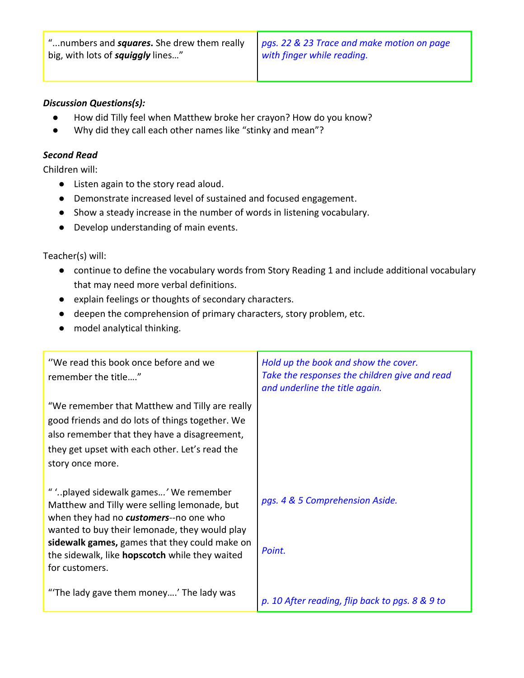"...numbers and *squares***.** She drew them really big, with lots of *squiggly* lines…"

*pgs. 22 & 23 Trace and make motion on page with finger while reading.* 

### *Discussion Questions(s):*

- How did Tilly feel when Matthew broke her crayon? How do you know?
- Why did they call each other names like "stinky and mean"?

### *Second Read*

Children will:

- Listen again to the story read aloud.
- Demonstrate increased level of sustained and focused engagement.
- Show a steady increase in the number of words in listening vocabulary.
- Develop understanding of main events.

Teacher(s) will:

- continue to define the vocabulary words from Story Reading 1 and include additional vocabulary that may need more verbal definitions.
- explain feelings or thoughts of secondary characters.
- deepen the comprehension of primary characters, story problem, etc.
- model analytical thinking.

| "We read this book once before and we<br>remember the title"                                                                                                                                                                                                                                                 | Hold up the book and show the cover.<br>Take the responses the children give and read<br>and underline the title again. |
|--------------------------------------------------------------------------------------------------------------------------------------------------------------------------------------------------------------------------------------------------------------------------------------------------------------|-------------------------------------------------------------------------------------------------------------------------|
| "We remember that Matthew and Tilly are really<br>good friends and do lots of things together. We<br>also remember that they have a disagreement,<br>they get upset with each other. Let's read the<br>story once more.                                                                                      |                                                                                                                         |
| " 'played sidewalk games' We remember<br>Matthew and Tilly were selling lemonade, but<br>when they had no customers--no one who<br>wanted to buy their lemonade, they would play<br>sidewalk games, games that they could make on<br>the sidewalk, like <b>hopscotch</b> while they waited<br>for customers. | pgs. 4 & 5 Comprehension Aside.<br>Point.                                                                               |
| "The lady gave them money' The lady was                                                                                                                                                                                                                                                                      | p. 10 After reading, flip back to pgs. 8 & 9 to                                                                         |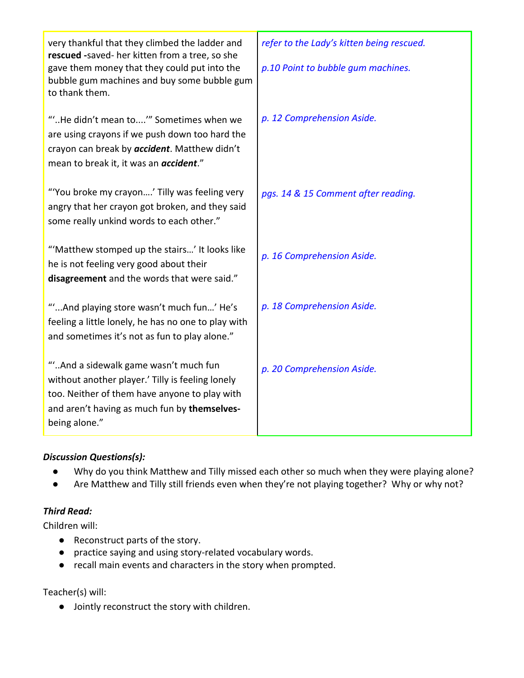| very thankful that they climbed the ladder and<br>rescued -saved- her kitten from a tree, so she<br>gave them money that they could put into the<br>bubble gum machines and buy some bubble gum<br>to thank them. | refer to the Lady's kitten being rescued.<br>p.10 Point to bubble gum machines. |
|-------------------------------------------------------------------------------------------------------------------------------------------------------------------------------------------------------------------|---------------------------------------------------------------------------------|
| ""He didn't mean to" Sometimes when we<br>are using crayons if we push down too hard the<br>crayon can break by accident. Matthew didn't<br>mean to break it, it was an <i>accident.</i> "                        | p. 12 Comprehension Aside.                                                      |
| "You broke my crayon' Tilly was feeling very<br>angry that her crayon got broken, and they said<br>some really unkind words to each other."                                                                       | pgs. 14 & 15 Comment after reading.                                             |
| "'Matthew stomped up the stairs' It looks like<br>he is not feeling very good about their<br>disagreement and the words that were said."                                                                          | p. 16 Comprehension Aside.                                                      |
| ""And playing store wasn't much fun' He's<br>feeling a little lonely, he has no one to play with<br>and sometimes it's not as fun to play alone."                                                                 | p. 18 Comprehension Aside.                                                      |
| ""And a sidewalk game wasn't much fun<br>without another player.' Tilly is feeling lonely<br>too. Neither of them have anyone to play with<br>and aren't having as much fun by themselves-<br>being alone."       | p. 20 Comprehension Aside.                                                      |

## *Discussion Questions(s):*

- Why do you think Matthew and Tilly missed each other so much when they were playing alone?
- Are Matthew and Tilly still friends even when they're not playing together? Why or why not?

### *Third Read:*

Children will:

- Reconstruct parts of the story.
- practice saying and using story-related vocabulary words.
- recall main events and characters in the story when prompted.

Teacher(s) will:

● Jointly reconstruct the story with children.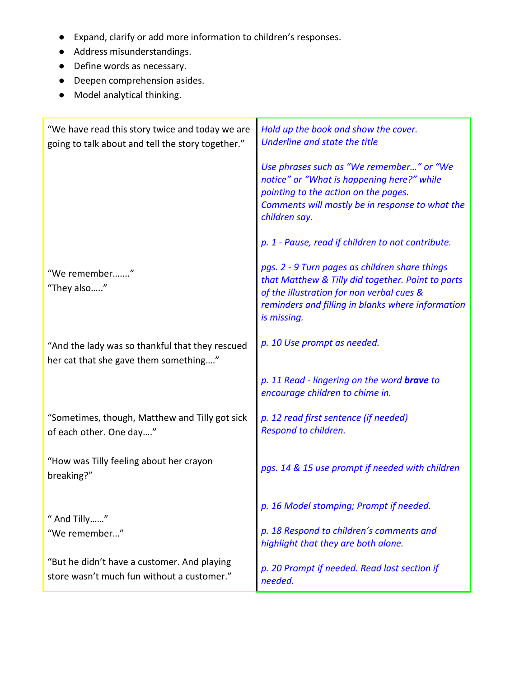- Expand, clarify or add more information to children's responses.
- Address misunderstandings.
- Define words as necessary.
- Deepen comprehension asides.
- Model analytical thinking.

| "We have read this story twice and today we are<br>going to talk about and tell the story together." | Hold up the book and show the cover.<br>Underline and state the title                                                                                                                                                |  |
|------------------------------------------------------------------------------------------------------|----------------------------------------------------------------------------------------------------------------------------------------------------------------------------------------------------------------------|--|
|                                                                                                      | Use phrases such as "We remember" or "We<br>notice" or "What is happening here?" while<br>pointing to the action on the pages.<br>Comments will mostly be in response to what the<br>children say.                   |  |
|                                                                                                      | p. 1 - Pause, read if children to not contribute.                                                                                                                                                                    |  |
| "We remember"<br>"They also"                                                                         | pgs. 2 - 9 Turn pages as children share things<br>that Matthew & Tilly did together. Point to parts<br>of the illustration for non verbal cues &<br>reminders and filling in blanks where information<br>is missing. |  |
| "And the lady was so thankful that they rescued<br>her cat that she gave them something"             | p. 10 Use prompt as needed.                                                                                                                                                                                          |  |
|                                                                                                      | p. 11 Read - lingering on the word <b>brave</b> to<br>encourage children to chime in.                                                                                                                                |  |
| "Sometimes, though, Matthew and Tilly got sick<br>of each other. One day"                            | p. 12 read first sentence (if needed)<br>Respond to children.                                                                                                                                                        |  |
| "How was Tilly feeling about her crayon<br>breaking?"                                                | pgs. 14 & 15 use prompt if needed with children                                                                                                                                                                      |  |
| " And Tilly"                                                                                         | p. 16 Model stomping; Prompt if needed.                                                                                                                                                                              |  |
| "We remember"                                                                                        | p. 18 Respond to children's comments and<br>highlight that they are both alone.                                                                                                                                      |  |
| "But he didn't have a customer. And playing<br>store wasn't much fun without a customer."            | p. 20 Prompt if needed. Read last section if<br>needed.                                                                                                                                                              |  |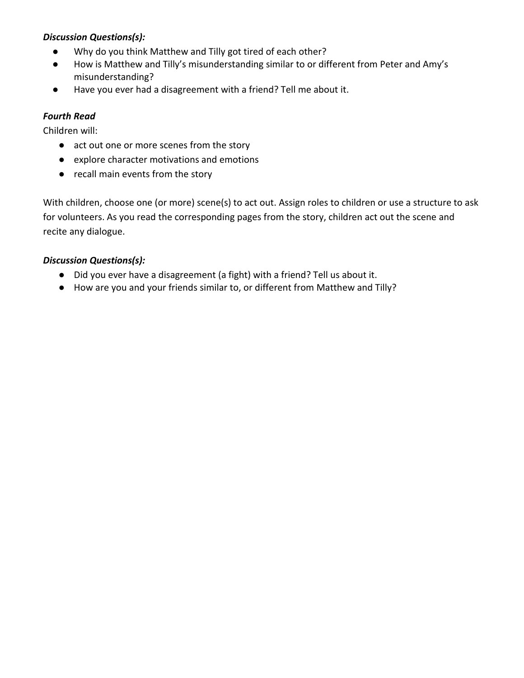## *Discussion Questions(s):*

- Why do you think Matthew and Tilly got tired of each other?
- How is Matthew and Tilly's misunderstanding similar to or different from Peter and Amy's misunderstanding?
- Have you ever had a disagreement with a friend? Tell me about it.

## *Fourth Read*

Children will:

- act out one or more scenes from the story
- explore character motivations and emotions
- recall main events from the story

With children, choose one (or more) scene(s) to act out. Assign roles to children or use a structure to ask for volunteers. As you read the corresponding pages from the story, children act out the scene and recite any dialogue.

## *Discussion Questions(s):*

- Did you ever have a disagreement (a fight) with a friend? Tell us about it.
- How are you and your friends similar to, or different from Matthew and Tilly?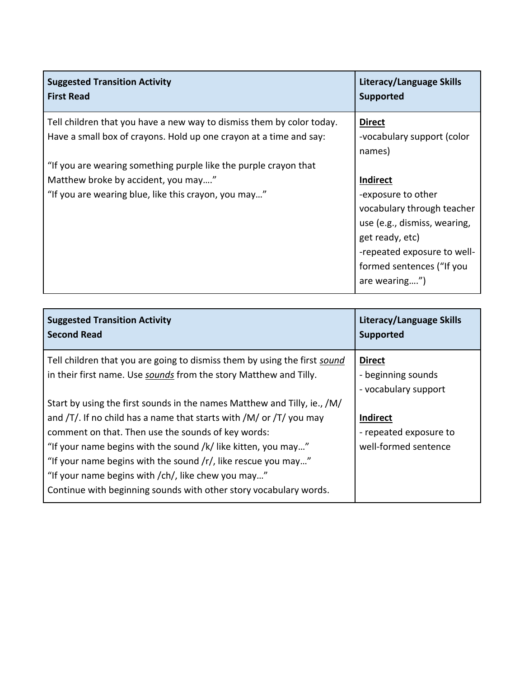| <b>Suggested Transition Activity</b><br><b>First Read</b>             | Literacy/Language Skills<br><b>Supported</b> |
|-----------------------------------------------------------------------|----------------------------------------------|
| Tell children that you have a new way to dismiss them by color today. | <b>Direct</b>                                |
| Have a small box of crayons. Hold up one crayon at a time and say:    | -vocabulary support (color                   |
|                                                                       | names)                                       |
| "If you are wearing something purple like the purple crayon that      |                                              |
| Matthew broke by accident, you may"                                   | <b>Indirect</b>                              |
| "If you are wearing blue, like this crayon, you may"                  | -exposure to other                           |
|                                                                       | vocabulary through teacher                   |
|                                                                       | use (e.g., dismiss, wearing,                 |
|                                                                       | get ready, etc)                              |
|                                                                       | -repeated exposure to well-                  |
|                                                                       | formed sentences ("If you                    |
|                                                                       | are wearing")                                |

| <b>Suggested Transition Activity</b><br><b>Second Read</b>                                                                                     | Literacy/Language Skills<br><b>Supported</b> |
|------------------------------------------------------------------------------------------------------------------------------------------------|----------------------------------------------|
| Tell children that you are going to dismiss them by using the first sound<br>in their first name. Use sounds from the story Matthew and Tilly. | <b>Direct</b><br>- beginning sounds          |
|                                                                                                                                                | - vocabulary support                         |
| Start by using the first sounds in the names Matthew and Tilly, ie., /M/                                                                       |                                              |
| and $/T/$ . If no child has a name that starts with $/M/$ or $/T/$ you may                                                                     | <b>Indirect</b>                              |
| comment on that. Then use the sounds of key words:                                                                                             | - repeated exposure to                       |
| "If your name begins with the sound /k/ like kitten, you may"                                                                                  | well-formed sentence                         |
| "If your name begins with the sound $/r/$ , like rescue you may"                                                                               |                                              |
| "If your name begins with /ch/, like chew you may"                                                                                             |                                              |
| Continue with beginning sounds with other story vocabulary words.                                                                              |                                              |